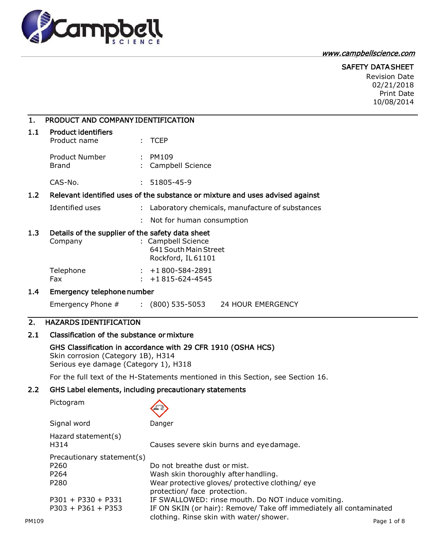

## [www.campbellscience.com](http://www.campbellscience.com/)

# SAFETY DATA SHEET

Revision Date 02/21/2018 Print Date 10/08/2014

| $\mathbf{1}$ . | PRODUCT AND COMPANY IDENTIFICATION                                                                                                          |    |                                                                                  |  |
|----------------|---------------------------------------------------------------------------------------------------------------------------------------------|----|----------------------------------------------------------------------------------|--|
| 1.1            | <b>Product identifiers</b><br>Product name                                                                                                  |    | $:$ TCEP                                                                         |  |
|                | <b>Product Number</b><br>Brand                                                                                                              |    | $:$ PM109<br>Campbell Science                                                    |  |
|                | $CAS-No.$                                                                                                                                   |    | $: 51805 - 45 - 9$                                                               |  |
| 1.2            | Relevant identified uses of the substance or mixture and uses advised against                                                               |    |                                                                                  |  |
|                | Identified uses                                                                                                                             | ÷. | Laboratory chemicals, manufacture of substances                                  |  |
|                |                                                                                                                                             |    | Not for human consumption                                                        |  |
| 1.3            | Details of the supplier of the safety data sheet<br>Company                                                                                 |    | : Campbell Science<br>641 South Main Street<br>Rockford, IL 61101                |  |
|                | Telephone<br>Fax                                                                                                                            |    | $: +1800 - 584 - 2891$<br>$: +1815 - 624 - 4545$                                 |  |
| 1.4            | Emergency telephone number                                                                                                                  |    |                                                                                  |  |
|                | Emergency Phone $\#$ : (800) 535-5053                                                                                                       |    | <b>24 HOUR EMERGENCY</b>                                                         |  |
| 2.             | <b>HAZARDS IDENTIFICATION</b>                                                                                                               |    |                                                                                  |  |
| 2.1            | Classification of the substance or mixture                                                                                                  |    |                                                                                  |  |
|                | GHS Classification in accordance with 29 CFR 1910 (OSHA HCS)<br>Skin corrosion (Category 1B), H314<br>Serious eye damage (Category 1), H318 |    |                                                                                  |  |
|                |                                                                                                                                             |    | For the full text of the H-Statements mentioned in this Section, see Section 16. |  |
|                |                                                                                                                                             |    |                                                                                  |  |

# 2.2 GHS Label elements, including precautionary statements

Pictogram

Signal word Danger

|       | Hazard statement(s)<br>H314 | Causes severe skin burns and eye damage.                                         |
|-------|-----------------------------|----------------------------------------------------------------------------------|
|       | Precautionary statement(s)  |                                                                                  |
|       | P <sub>260</sub>            | Do not breathe dust or mist.                                                     |
|       | P <sub>264</sub>            | Wash skin thoroughly after handling.                                             |
|       | P280                        | Wear protective gloves/ protective clothing/ eye<br>protection/ face protection. |
|       | $P301 + P330 + P331$        | IF SWALLOWED: rinse mouth. Do NOT induce vomiting.                               |
|       | $P303 + P361 + P353$        | IF ON SKIN (or hair): Remove/ Take off immediately all contaminated              |
| PM109 |                             | clothing. Rinse skin with water/shower.<br>Page 1 of 8                           |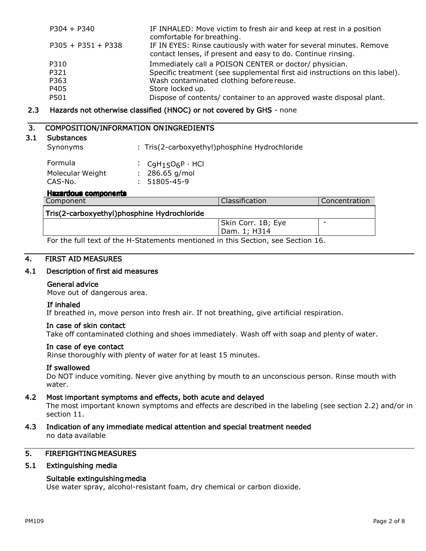| $P304 + P340$        | IF INHALED: Move victim to fresh air and keep at rest in a position<br>comfortable for breathing.                                   |
|----------------------|-------------------------------------------------------------------------------------------------------------------------------------|
| $P305 + P351 + P338$ | IF IN EYES: Rinse cautiously with water for several minutes. Remove<br>contact lenses, if present and easy to do. Continue rinsing. |
| P310                 | Immediately call a POISON CENTER or doctor/ physician.                                                                              |
| P321                 | Specific treatment (see supplemental first aid instructions on this label).                                                         |
| P363                 | Wash contaminated clothing before reuse.                                                                                            |
| P405                 | Store locked up.                                                                                                                    |
| P501                 | Dispose of contents/ container to an approved waste disposal plant.                                                                 |

#### 2.3 Hazards not otherwise classified (HNOC) or not covered by GHS - none

# 3. COMPOSITION/INFORMATION ON INGREDIENTS

#### 3.1 Substances

Synonyms : Tris(2-carboxyethyl)phosphine Hydrochloride  $F<sub>normal</sub>$ 

| Formula          | : $C_9H_15O_6P \cdot HCl$ |
|------------------|---------------------------|
| Molecular Weight | $: 286.65$ g/mol          |
| CAS-No.          | $: 51805 - 45 - 9$        |
|                  |                           |

#### Hazardous components

| Component                                   | <b>Classification</b> | <b>Concentration</b>     |
|---------------------------------------------|-----------------------|--------------------------|
| Tris(2-carboxyethyl)phosphine Hydrochloride |                       |                          |
|                                             | Skin Corr. 1B; Eye    | $\overline{\phantom{0}}$ |
|                                             | Dam. 1; H314          |                          |
| _<br>. .                                    | $\sim$ $\sim$ $\sim$  |                          |

For the full text of the H-Statements mentioned in this Section, see Section 16.

## 4. FIRST AID MEASURES

## 4.1 Description of first aid measures

#### General advice

Move out of dangerous area.

#### If inhaled

If breathed in, move person into fresh air. If not breathing, give artificial respiration.

#### In case of skin contact

Take off contaminated clothing and shoes immediately. Wash off with soap and plenty of water.

#### In case of eye contact

Rinse thoroughly with plenty of water for at least 15 minutes.

## If swallowed

Do NOT induce vomiting. Never give anything by mouth to an unconscious person. Rinse mouth with water.

## 4.2 Most important symptoms and effects, both acute and delayed

The most important known symptoms and effects are described in the labeling (see section 2.2) and/or in section 11.

4.3 Indication of any immediate medical attention and special treatment needed no data available

# 5. FIREFIGHTING MEASURES

## 5.1 Extinguishing media

## Suitable extinguishing media

Use water spray, alcohol-resistant foam, dry chemical or carbon dioxide.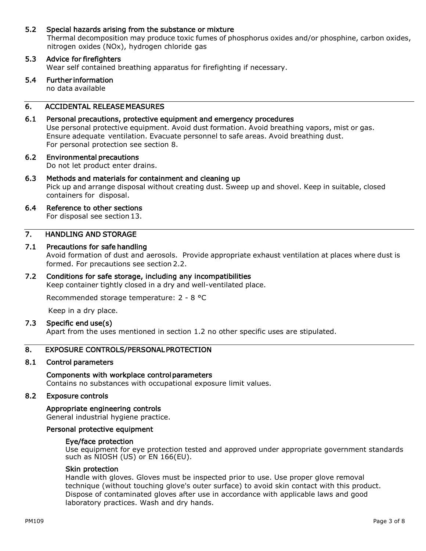## 5.2 Special hazards arising from the substance or mixture

Thermal decomposition may produce toxic fumes of phosphorus oxides and/or phosphine, carbon oxides, nitrogen oxides (NOx), hydrogen chloride gas

## 5.3 Advice for firefighters

Wear self contained breathing apparatus for firefighting if necessary.

# 5.4 Further information

no data available

# 6. ACCIDENTAL RELEASE MEASURES

## 6.1 Personal precautions, protective equipment and emergency procedures

Use personal protective equipment. Avoid dust formation. Avoid breathing vapors, mist or gas. Ensure adequate ventilation. Evacuate personnel to safe areas. Avoid breathing dust. For personal protection see section 8.

#### 6.2 Environmental precautions

Do not let product enter drains.

## 6.3 Methods and materials for containment and cleaning up

Pick up and arrange disposal without creating dust. Sweep up and shovel. Keep in suitable, closed containers for disposal.

# 6.4 Reference to other sections

For disposal see section 13.

## 7. HANDLING AND STORAGE

## 7.1 Precautions for safe handling

Avoid formation of dust and aerosols. Provide appropriate exhaust ventilation at places where dust is formed. For precautions see section 2.2.

## 7.2 Conditions for safe storage, including any incompatibilities

Keep container tightly closed in a dry and well-ventilated place.

Recommended storage temperature: 2 - 8 °C

Keep in a dry place.

## 7.3 Specific end use(s)

Apart from the uses mentioned in section 1.2 no other specific uses are stipulated.

## 8. EXPOSURE CONTROLS/PERSONAL PROTECTION

#### 8.1 Control parameters

#### Components with workplace control parameters

Contains no substances with occupational exposure limit values.

#### 8.2 Exposure controls

Appropriate engineering controls General industrial hygiene practice.

#### Personal protective equipment

#### Eye/face protection

Use equipment for eye protection tested and approved under appropriate government standards such as  $NIOSH (US)$  or  $EN 166(EU)$ .

#### Skin protection

Handle with gloves. Gloves must be inspected prior to use. Use proper glove removal technique (without touching glove's outer surface) to avoid skin contact with this product. Dispose of contaminated gloves after use in accordance with applicable laws and good laboratory practices. Wash and dry hands.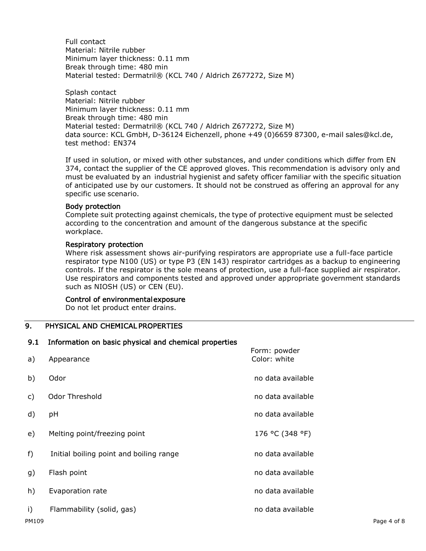Full contact Material: Nitrile rubber Minimum layer thickness: 0.11 mm Break through time: 480 min Material tested: Dermatril® (KCL 740 / Aldrich Z677272, Size M)

Splash contact Material: Nitrile rubber Minimum layer thickness: 0.11 mm Break through time: 480 min Material tested: Dermatril® (KCL 740 / Aldrich Z677272, Size M) data source: KCL GmbH, D-36124 Eichenzell, phone +49 (0)6659 87300, e-mail [sales@kcl.de,](mailto:sales@kcl.de) test method: EN374

If used in solution, or mixed with other substances, and under conditions which differ from EN 374, contact the supplier of the CE approved gloves. This recommendation is advisory only and must be evaluated by an industrial hygienist and safety officer familiar with the specific situation of anticipated use by our customers. It should not be construed as offering an approval for any specific use scenario.

#### Body protection

Complete suit protecting against chemicals, the type of protective equipment must be selected according to the concentration and amount of the dangerous substance at the specific workplace.

#### Respiratory protection

Where risk assessment shows air-purifying respirators are appropriate use a full-face particle respirator type N100 (US) or type P3 (EN 143) respirator cartridges as a backup to engineering controls. If the respirator is the sole means of protection, use a full-face supplied air respirator. Use respirators and components tested and approved under appropriate government standards such as NIOSH (US) or CEN (EU).

## Control of environmental exposure

Do not let product enter drains.

## 9. PHYSICAL AND CHEMICAL PROPERTIES

# 9.1 Information on basic physical and chemical properties a) Appearance Form: powder Color: white b) Odor no data available c) Odor Threshold **changes** are a set of the control of the control of the control of the control of the control of the control of the control of the control of the control of the control of the control of the control of t d) pH no data available

- e) Melting point/freezing point 176 °C (348 °F)
- f) Initial boiling point and boiling range no data available
- g) Flash point no data available
- h) Evaporation rate no data available no data available
- i) Flammability (solid, gas) no data available is no data available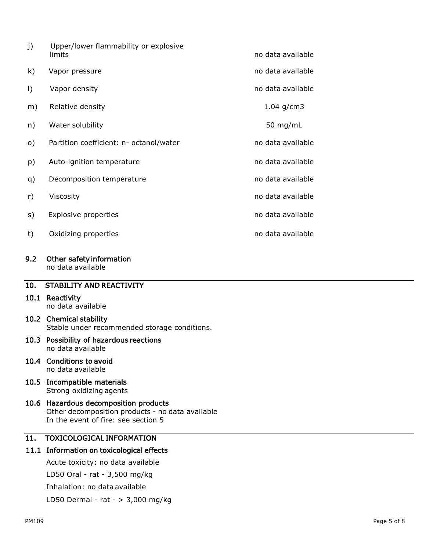| j)      | Upper/lower flammability or explosive<br>limits | no data available |
|---------|-------------------------------------------------|-------------------|
| k)      | Vapor pressure                                  | no data available |
| $\vert$ | Vapor density                                   | no data available |
| m)      | Relative density                                | 1.04 $g/cm3$      |
| n)      | Water solubility                                | 50 mg/mL          |
| o)      | Partition coefficient: n- octanol/water         | no data available |
| p)      | Auto-ignition temperature                       | no data available |
| q)      | Decomposition temperature                       | no data available |
| r)      | Viscosity                                       | no data available |
| s)      | <b>Explosive properties</b>                     | no data available |
| t)      | Oxidizing properties                            | no data available |
|         |                                                 |                   |

# 9.2 Other safety information

no data available

# 10. STABILITY AND REACTIVITY

## 10.1 Reactivity no data available

## 10.2 Chemical stability Stable under recommended storage conditions.

## 10.3 Possibility of hazardous reactions no data available

#### 10.4 Conditions to avoid no data available

## 10.5 Incompatible materials Strong oxidizing agents

## 10.6 Hazardous decomposition products Other decomposition products - no data available In the event of fire: see section 5

# 11. TOXICOLOGICAL INFORMATION

# 11.1 Information on toxicological effects

Acute toxicity: no data available

LD50 Oral - rat - 3,500 mg/kg

Inhalation: no data available

LD50 Dermal - rat - > 3,000 mg/kg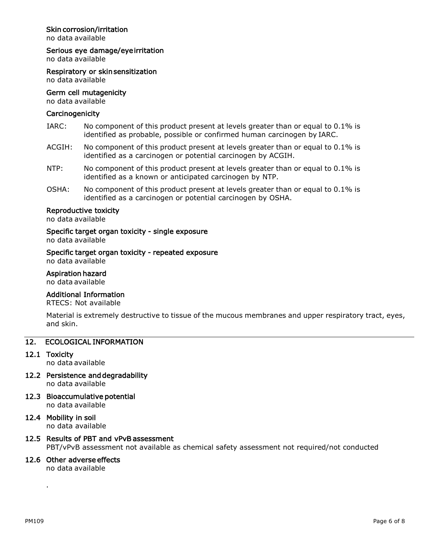## Skin corrosion/irritation

no data available

#### Serious eye damage/eye irritation

no data available

Respiratory or skin sensitization

no data available

## Germ cell mutagenicity

no data available

#### **Carcinogenicity**

- IARC: No component of this product present at levels greater than or equal to 0.1% is identified as probable, possible or confirmed human carcinogen by IARC.
- ACGIH: No component of this product present at levels greater than or equal to 0.1% is identified as a carcinogen or potential carcinogen by ACGIH.
- NTP: No component of this product present at levels greater than or equal to 0.1% is identified as a known or anticipated carcinogen by NTP.
- OSHA: No component of this product present at levels greater than or equal to 0.1% is identified as a carcinogen or potential carcinogen by OSHA.

## Reproductive toxicity

no data available

#### Specific target organ toxicity - single exposure

no data available

# Specific target organ toxicity - repeated exposure

no data available

#### Aspiration hazard

no data available

## Additional Information

RTECS: Not available

Material is extremely destructive to tissue of the mucous membranes and upper respiratory tract, eyes, and skin.

## 12. ECOLOGICAL INFORMATION

12.1 Toxicity

no data available

- 12.2 Persistence and degradability no data available
- 12.3 Bioaccumulative potential no data available
- 12.4 Mobility in soil no data available

# 12.5 Results of PBT and vPvB assessment

PBT/vPvB assessment not available as chemical safety assessment not required/not conducted

## 12.6 Other adverse effects

no data available

.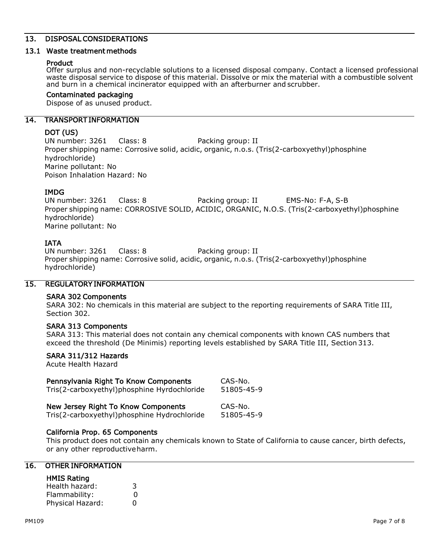## 13. DISPOSAL CONSIDERATIONS

#### 13.1 Waste treatment methods

#### Product

Offer surplus and non-recyclable solutions to a licensed disposal company. Contact a licensed professional waste disposal service to dispose of this material. Dissolve or mix the material with a combustible solvent and burn in a chemical incinerator equipped with an afterburner and scrubber.

#### Contaminated packaging

Dispose of as unused product.

## 14. TRANSPORT INFORMATION

## DOT (US)

UN number: 3261 Class: 8 Packing group: II Proper shipping name: Corrosive solid, acidic, organic, n.o.s. (Tris(2-carboxyethyl)phosphine hydrochloride) Marine pollutant: No Poison Inhalation Hazard: No

## IMDG

UN number: 3261 Class: 8 Packing group: II EMS-No: F-A, S-B Proper shipping name: CORROSIVE SOLID, ACIDIC, ORGANIC, N.O.S. (Tris(2-carboxyethyl)phosphine hydrochloride) Marine pollutant: No

## IATA

UN number: 3261 Class: 8 Packing group: II Proper shipping name: Corrosive solid, acidic, organic, n.o.s. (Tris(2-carboxyethyl)phosphine hydrochloride)

## 15. REGULATORY INFORMATION

#### SARA 302 Components

SARA 302: No chemicals in this material are subject to the reporting requirements of SARA Title III, Section 302.

## SARA 313 Components

SARA 313: This material does not contain any chemical components with known CAS numbers that exceed the threshold (De Minimis) reporting levels established by SARA Title III, Section 313.

## SARA 311/312 Hazards

Acute Health Hazard

| Pennsylvania Right To Know Components       | CAS-No.    |
|---------------------------------------------|------------|
| Tris(2-carboxyethyl)phosphine Hyrdochloride | 51805-45-9 |
| New Jersey Right To Know Components         | CAS-No.    |

Tris(2-carboxyethyl)phosphine Hydrochloride 51805-45-9

## California Prop. 65 Components

This product does not contain any chemicals known to State of California to cause cancer, birth defects, or any other reproductiveharm.

## 16. OTHER INFORMATION

#### HMIS Rating

| Health hazard:   | 3        |
|------------------|----------|
| Flammability:    | O        |
| Physical Hazard: | $\Omega$ |